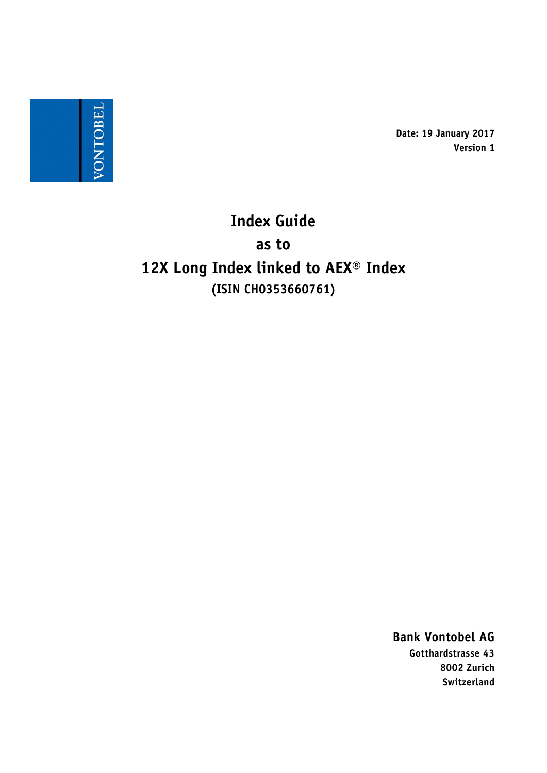

**Date: 19 January 2017 Version 1**

**Index Guide as to 12X Long Index linked to AEX® Index (ISIN CH0353660761)**

> **Bank Vontobel AG Gotthardstrasse 43 8002 Zurich Switzerland**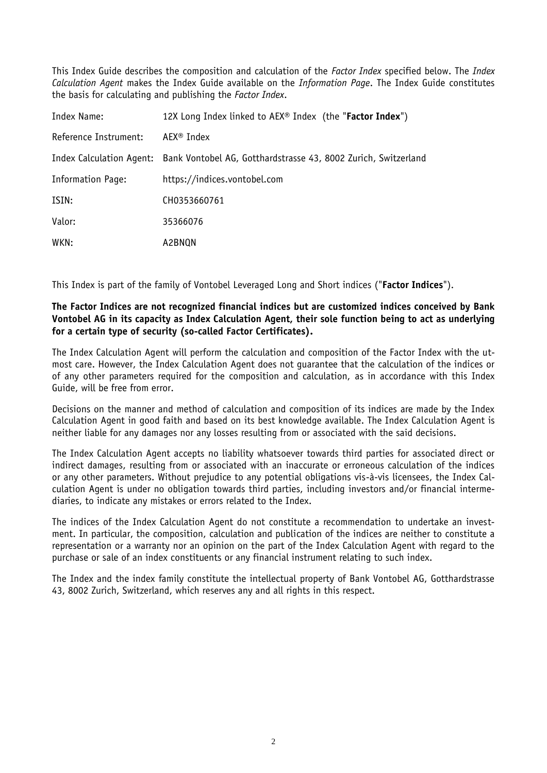This Index Guide describes the composition and calculation of the *Factor Index* specified below. The *Index Calculation Agent* makes the Index Guide available on the *Information Page*. The Index Guide constitutes the basis for calculating and publishing the *Factor Index*.

| Index Name:              | 12X Long Index linked to $AEX^{\circ}$ Index (the " <b>Factor Index</b> ") |
|--------------------------|----------------------------------------------------------------------------|
| Reference Instrument:    | AEX <sup>®</sup> Index                                                     |
| Index Calculation Agent: | Bank Vontobel AG, Gotthardstrasse 43, 8002 Zurich, Switzerland             |
| <b>Information Page:</b> | https://indices.vontobel.com                                               |
| ISIN:                    | CH0353660761                                                               |
| Valor:                   | 35366076                                                                   |
| WKN:                     | A2BNQN                                                                     |

This Index is part of the family of Vontobel Leveraged Long and Short indices ("**Factor Indices**").

# **The Factor Indices are not recognized financial indices but are customized indices conceived by Bank Vontobel AG in its capacity as Index Calculation Agent, their sole function being to act as underlying for a certain type of security (so-called Factor Certificates).**

The Index Calculation Agent will perform the calculation and composition of the Factor Index with the utmost care. However, the Index Calculation Agent does not guarantee that the calculation of the indices or of any other parameters required for the composition and calculation, as in accordance with this Index Guide, will be free from error.

Decisions on the manner and method of calculation and composition of its indices are made by the Index Calculation Agent in good faith and based on its best knowledge available. The Index Calculation Agent is neither liable for any damages nor any losses resulting from or associated with the said decisions.

The Index Calculation Agent accepts no liability whatsoever towards third parties for associated direct or indirect damages, resulting from or associated with an inaccurate or erroneous calculation of the indices or any other parameters. Without prejudice to any potential obligations vis-à-vis licensees, the Index Calculation Agent is under no obligation towards third parties, including investors and/or financial intermediaries, to indicate any mistakes or errors related to the Index.

The indices of the Index Calculation Agent do not constitute a recommendation to undertake an investment. In particular, the composition, calculation and publication of the indices are neither to constitute a representation or a warranty nor an opinion on the part of the Index Calculation Agent with regard to the purchase or sale of an index constituents or any financial instrument relating to such index.

The Index and the index family constitute the intellectual property of Bank Vontobel AG, Gotthardstrasse 43, 8002 Zurich, Switzerland, which reserves any and all rights in this respect.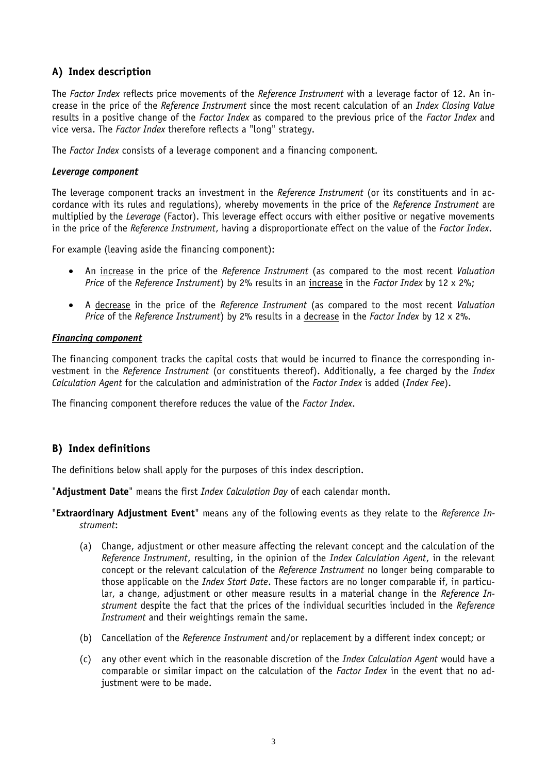# **A) Index description**

The *Factor Index* reflects price movements of the *Reference Instrument* with a leverage factor of 12. An increase in the price of the *Reference Instrument* since the most recent calculation of an *Index Closing Value* results in a positive change of the *Factor Index* as compared to the previous price of the *Factor Index* and vice versa. The *Factor Index* therefore reflects a "long" strategy.

The *Factor Index* consists of a leverage component and a financing component.

### *Leverage component*

The leverage component tracks an investment in the *Reference Instrument* (or its constituents and in accordance with its rules and regulations), whereby movements in the price of the *Reference Instrument* are multiplied by the *Leverage* (Factor). This leverage effect occurs with either positive or negative movements in the price of the *Reference Instrument*, having a disproportionate effect on the value of the *Factor Index*.

For example (leaving aside the financing component):

- An increase in the price of the *Reference Instrument* (as compared to the most recent *Valuation Price* of the *Reference Instrument*) by 2% results in an increase in the *Factor Index* by 12 x 2%;
- A decrease in the price of the *Reference Instrument* (as compared to the most recent *Valuation Price* of the *Reference Instrument*) by 2% results in a decrease in the *Factor Index* by 12 x 2%.

### *Financing component*

The financing component tracks the capital costs that would be incurred to finance the corresponding investment in the *Reference Instrument* (or constituents thereof). Additionally, a fee charged by the *Index Calculation Agent* for the calculation and administration of the *Factor Index* is added (*Index Fee*).

The financing component therefore reduces the value of the *Factor Index*.

# **B) Index definitions**

The definitions below shall apply for the purposes of this index description.

"**Adjustment Date**" means the first *Index Calculation Day* of each calendar month.

"**Extraordinary Adjustment Event**" means any of the following events as they relate to the *Reference Instrument*:

- (a) Change, adjustment or other measure affecting the relevant concept and the calculation of the *Reference Instrument*, resulting, in the opinion of the *Index Calculation Agent*, in the relevant concept or the relevant calculation of the *Reference Instrument* no longer being comparable to those applicable on the *Index Start Date*. These factors are no longer comparable if, in particular, a change, adjustment or other measure results in a material change in the *Reference Instrument* despite the fact that the prices of the individual securities included in the *Reference Instrument* and their weightings remain the same.
- (b) Cancellation of the *Reference Instrument* and/or replacement by a different index concept; or
- (c) any other event which in the reasonable discretion of the *Index Calculation Agent* would have a comparable or similar impact on the calculation of the *Factor Index* in the event that no adjustment were to be made.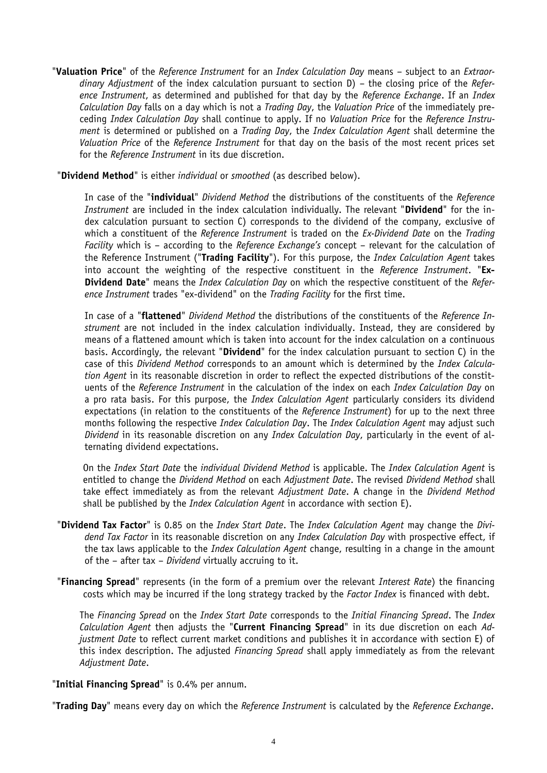"**Valuation Price**" of the *Reference Instrument* for an *Index Calculation Day* means – subject to an *Extraordinary Adjustment* of the index calculation pursuant to section D) – the closing price of the *Reference Instrument*, as determined and published for that day by the *Reference Exchange*. If an *Index Calculation Day* falls on a day which is not a *Trading Day*, the *Valuation Price* of the immediately preceding *Index Calculation Day* shall continue to apply. If no *Valuation Price* for the *Reference Instrument* is determined or published on a *Trading Day*, the *Index Calculation Agent* shall determine the *Valuation Price* of the *Reference Instrument* for that day on the basis of the most recent prices set for the *Reference Instrument* in its due discretion.

"**Dividend Method**" is either *individual* or *smoothed* (as described below).

In case of the "**individual**" *Dividend Method* the distributions of the constituents of the *Reference Instrument* are included in the index calculation individually. The relevant "**Dividend**" for the index calculation pursuant to section C) corresponds to the dividend of the company, exclusive of which a constituent of the *Reference Instrument* is traded on the *Ex-Dividend Date* on the *Trading Facility* which is – according to the *Reference Exchange's* concept – relevant for the calculation of the Reference Instrument ("**Trading Facility**"). For this purpose, the *Index Calculation Agent* takes into account the weighting of the respective constituent in the *Reference Instrument*. "**Ex-Dividend Date**" means the *Index Calculation Day* on which the respective constituent of the *Reference Instrument* trades "ex-dividend" on the *Trading Facility* for the first time.

In case of a "**flattened**" *Dividend Method* the distributions of the constituents of the *Reference Instrument* are not included in the index calculation individually. Instead, they are considered by means of a flattened amount which is taken into account for the index calculation on a continuous basis. Accordingly, the relevant "**Dividend**" for the index calculation pursuant to section C) in the case of this *Dividend Method* corresponds to an amount which is determined by the *Index Calculation Agent* in its reasonable discretion in order to reflect the expected distributions of the constituents of the *Reference Instrument* in the calculation of the index on each *Index Calculation Day* on a pro rata basis. For this purpose, the *Index Calculation Agent* particularly considers its dividend expectations (in relation to the constituents of the *Reference Instrument*) for up to the next three months following the respective *Index Calculation Day*. The *Index Calculation Agent* may adjust such *Dividend* in its reasonable discretion on any *Index Calculation Day*, particularly in the event of alternating dividend expectations.

On the *Index Start Date* the *individual Dividend Method* is applicable. The *Index Calculation Agent* is entitled to change the *Dividend Method* on each *Adjustment Date*. The revised *Dividend Method* shall take effect immediately as from the relevant *Adjustment Date*. A change in the *Dividend Method* shall be published by the *Index Calculation Agent* in accordance with section E).

- "**Dividend Tax Factor**" is 0.85 on the *Index Start Date*. The *Index Calculation Agent* may change the *Dividend Tax Factor* in its reasonable discretion on any *Index Calculation Day* with prospective effect, if the tax laws applicable to the *Index Calculation Agent* change, resulting in a change in the amount of the – after tax – *Dividend* virtually accruing to it.
- "**Financing Spread**" represents (in the form of a premium over the relevant *Interest Rate*) the financing costs which may be incurred if the long strategy tracked by the *Factor Index* is financed with debt.

The *Financing Spread* on the *Index Start Date* corresponds to the *Initial Financing Spread*. The *Index Calculation Agent* then adjusts the "**Current Financing Spread**" in its due discretion on each *Adjustment Date* to reflect current market conditions and publishes it in accordance with section E) of this index description. The adjusted *Financing Spread* shall apply immediately as from the relevant *Adjustment Date*.

"**Initial Financing Spread**" is 0.4% per annum.

"**Trading Day**" means every day on which the *Reference Instrument* is calculated by the *Reference Exchange*.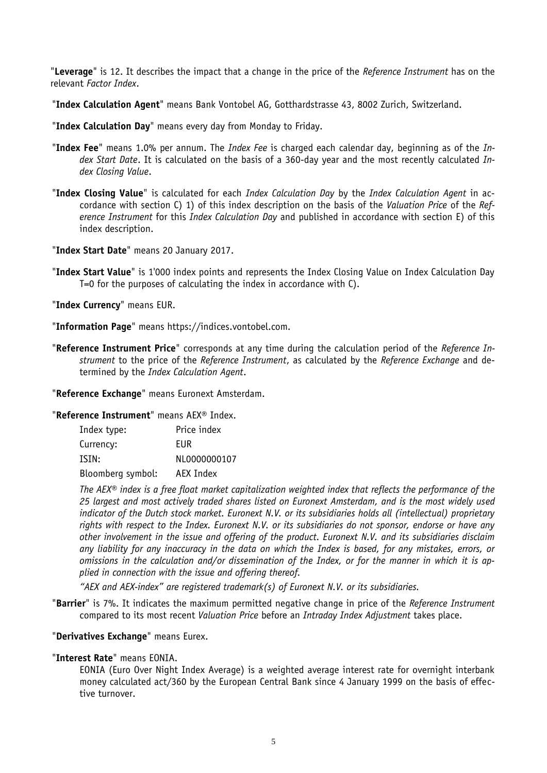"**Leverage**" is 12. It describes the impact that a change in the price of the *Reference Instrument* has on the relevant *Factor Index*.

"**Index Calculation Agent**" means Bank Vontobel AG, Gotthardstrasse 43, 8002 Zurich, Switzerland.

"**Index Calculation Day**" means every day from Monday to Friday.

- "**Index Fee**" means 1.0% per annum. The *Index Fee* is charged each calendar day, beginning as of the *Index Start Date*. It is calculated on the basis of a 360-day year and the most recently calculated *Index Closing Value*.
- "**Index Closing Value**" is calculated for each *Index Calculation Day* by the *Index Calculation Agent* in accordance with section C) 1) of this index description on the basis of the *Valuation Price* of the *Reference Instrument* for this *Index Calculation Day* and published in accordance with section E) of this index description.

"**Index Start Date**" means 20 January 2017.

"**Index Start Value**" is 1'000 index points and represents the Index Closing Value on Index Calculation Day T=0 for the purposes of calculating the index in accordance with C).

"**Index Currency**" means EUR.

"**Information Page**" means https://indices.vontobel.com.

"**Reference Instrument Price**" corresponds at any time during the calculation period of the *Reference Instrument* to the price of the *Reference Instrument*, as calculated by the *Reference Exchange* and determined by the *Index Calculation Agent*.

"**Reference Exchange**" means Euronext Amsterdam.

"**Reference Instrument**" means AEX® Index.

| Index type:       | Price index  |
|-------------------|--------------|
| Currency:         | EUR          |
| ISIN:             | NL0000000107 |
| Bloomberg symbol: | AEX Index    |

*The AEX® index is a free float market capitalization weighted index that reflects the performance of the 25 largest and most actively traded shares listed on Euronext Amsterdam, and is the most widely used indicator of the Dutch stock market. Euronext N.V. or its subsidiaries holds all (intellectual) proprietary rights with respect to the Index. Euronext N.V. or its subsidiaries do not sponsor, endorse or have any other involvement in the issue and offering of the product. Euronext N.V. and its subsidiaries disclaim any liability for any inaccuracy in the data on which the Index is based, for any mistakes, errors, or omissions in the calculation and/or dissemination of the Index, or for the manner in which it is applied in connection with the issue and offering thereof.*

*"AEX and AEX-index" are registered trademark(s) of Euronext N.V. or its subsidiaries.*

"**Barrier**" is 7%. It indicates the maximum permitted negative change in price of the *Reference Instrument*  compared to its most recent *Valuation Price* before an *Intraday Index Adjustment* takes place.

# "**Derivatives Exchange**" means Eurex.

# "**Interest Rate**" means EONIA.

EONIA (Euro Over Night Index Average) is a weighted average interest rate for overnight interbank money calculated act/360 by the European Central Bank since 4 January 1999 on the basis of effective turnover.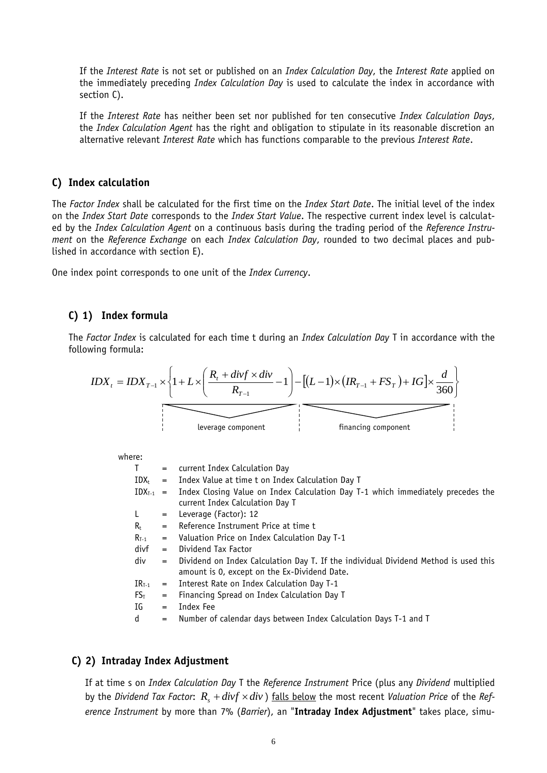If the *Interest Rate* is not set or published on an *Index Calculation Day*, the *Interest Rate* applied on the immediately preceding *Index Calculation Day* is used to calculate the index in accordance with section C).

If the *Interest Rate* has neither been set nor published for ten consecutive *Index Calculation Days*, the *Index Calculation Agent* has the right and obligation to stipulate in its reasonable discretion an alternative relevant *Interest Rate* which has functions comparable to the previous *Interest Rate*.

### **C) Index calculation**

The *Factor Index* shall be calculated for the first time on the *Index Start Date*. The initial level of the index on the *Index Start Date* corresponds to the *Index Start Value*. The respective current index level is calculated by the *Index Calculation Agent* on a continuous basis during the trading period of the *Reference Instrument* on the *Reference Exchange* on each *Index Calculation Day*, rounded to two decimal places and published in accordance with section E).

One index point corresponds to one unit of the *Index Currency*.

# **C) 1) Index formula**

The *Factor Index* is calculated for each time t during an *Index Calculation Day* T in accordance with the following formula:



where:

| T.            | $=$ | current Index Calculation Day                                                                                                       |
|---------------|-----|-------------------------------------------------------------------------------------------------------------------------------------|
| IDX+          |     | $=$ Index Value at time t on Index Calculation Day T                                                                                |
| $IDX_{T-1}$ = |     | Index Closing Value on Index Calculation Day T-1 which immediately precedes the<br>current Index Calculation Day T                  |
| $\mathsf{L}$  | $=$ | Leverage (Factor): 12                                                                                                               |
| $R_{\rm t}$   | $=$ | Reference Instrument Price at time t                                                                                                |
| $R_{T-1}$     | $=$ | Valuation Price on Index Calculation Day T-1                                                                                        |
| divf          | $=$ | Dividend Tax Factor                                                                                                                 |
| div           | $=$ | Dividend on Index Calculation Day T. If the individual Dividend Method is used this<br>amount is 0, except on the Ex-Dividend Date. |
| $IR_{T-1}$    | $=$ | Interest Rate on Index Calculation Day T-1                                                                                          |
| $FS_T$        | $=$ | Financing Spread on Index Calculation Day T                                                                                         |
| IG            | $=$ | Index Fee                                                                                                                           |
| d             | $=$ | Number of calendar days between Index Calculation Days T-1 and T                                                                    |

# **C) 2) Intraday Index Adjustment**

If at time s on *Index Calculation Day* T the *Reference Instrument* Price (plus any *Dividend* multiplied by the *Dividend Tax Factor:*  $R_s + div f \times div$  ) falls below the most recent *Valuation Price* of the *Reference Instrument* by more than 7% (*Barrier*), an "**Intraday Index Adjustment**" takes place, simu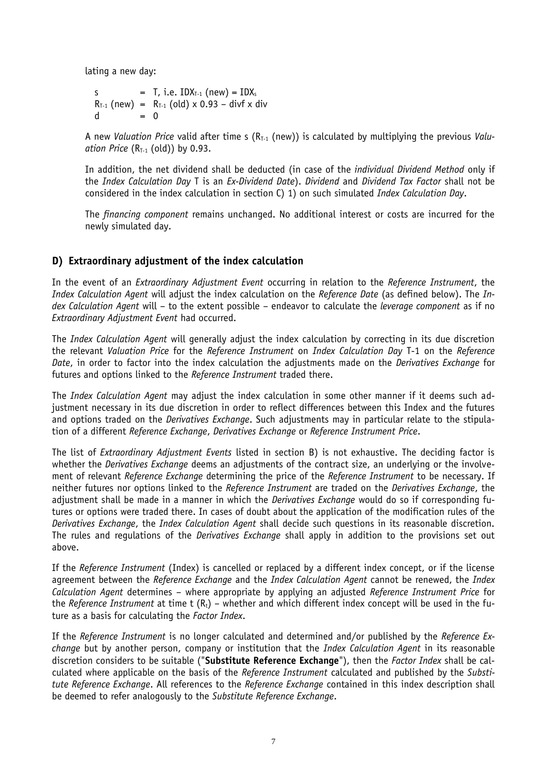lating a new day:

$$
S = T, i.e. IDXT-1 (new) = IDXsRT-1 (new) = RT-1 (old) × 0.93 - divf × divd = 0
$$

A new *Valuation Price* valid after time s (R<sub>T-1</sub> (new)) is calculated by multiplying the previous *Valuation Price*  $(R_{T-1}$  (old)) by 0.93.

In addition, the net dividend shall be deducted (in case of the *individual Dividend Method* only if the *Index Calculation Day* T is an *Ex-Dividend Date*). *Dividend* and *Dividend Tax Factor* shall not be considered in the index calculation in section C) 1) on such simulated *Index Calculation Day*.

The *financing component* remains unchanged. No additional interest or costs are incurred for the newly simulated day.

# **D) Extraordinary adjustment of the index calculation**

In the event of an *Extraordinary Adjustment Event* occurring in relation to the *Reference Instrument*, the *Index Calculation Agent* will adjust the index calculation on the *Reference Date* (as defined below). The *Index Calculation Agent* will – to the extent possible – endeavor to calculate the *leverage component* as if no *Extraordinary Adjustment Event* had occurred.

The *Index Calculation Agent* will generally adjust the index calculation by correcting in its due discretion the relevant *Valuation Price* for the *Reference Instrument* on *Index Calculation Day* T-1 on the *Reference Date*, in order to factor into the index calculation the adjustments made on the *Derivatives Exchange* for futures and options linked to the *Reference Instrument* traded there.

The *Index Calculation Agent* may adjust the index calculation in some other manner if it deems such adjustment necessary in its due discretion in order to reflect differences between this Index and the futures and options traded on the *Derivatives Exchange*. Such adjustments may in particular relate to the stipulation of a different *Reference Exchange*, *Derivatives Exchange* or *Reference Instrument Price*.

The list of *Extraordinary Adjustment Events* listed in section B) is not exhaustive. The deciding factor is whether the *Derivatives Exchange* deems an adjustments of the contract size, an underlying or the involvement of relevant *Reference Exchange* determining the price of the *Reference Instrument* to be necessary. If neither futures nor options linked to the *Reference Instrument* are traded on the *Derivatives Exchange*, the adjustment shall be made in a manner in which the *Derivatives Exchange* would do so if corresponding futures or options were traded there. In cases of doubt about the application of the modification rules of the *Derivatives Exchange*, the *Index Calculation Agent* shall decide such questions in its reasonable discretion. The rules and regulations of the *Derivatives Exchange* shall apply in addition to the provisions set out above.

If the *Reference Instrument* (Index) is cancelled or replaced by a different index concept, or if the license agreement between the *Reference Exchange* and the *Index Calculation Agent* cannot be renewed, the *Index Calculation Agent* determines – where appropriate by applying an adjusted *Reference Instrument Price* for the *Reference Instrument* at time  $t$  ( $R_t$ ) – whether and which different index concept will be used in the future as a basis for calculating the *Factor Index*.

If the *Reference Instrument* is no longer calculated and determined and/or published by the *Reference Exchange* but by another person, company or institution that the *Index Calculation Agent* in its reasonable discretion considers to be suitable ("**Substitute Reference Exchange**"), then the *Factor Index* shall be calculated where applicable on the basis of the *Reference Instrument* calculated and published by the *Substitute Reference Exchange*. All references to the *Reference Exchange* contained in this index description shall be deemed to refer analogously to the *Substitute Reference Exchange*.